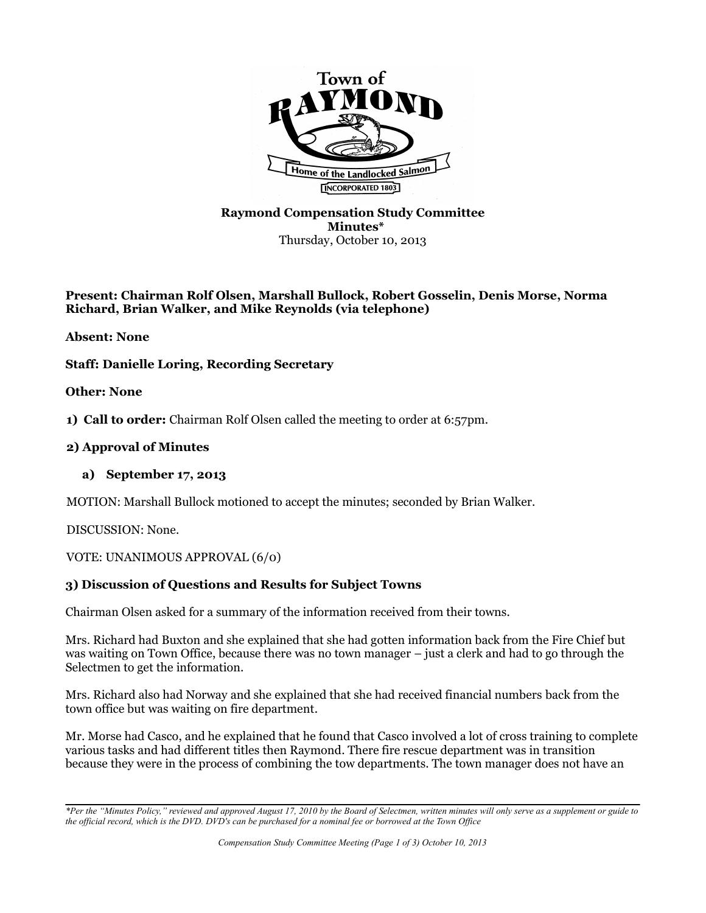

### **Raymond Compensation Study Committee Minutes\*** Thursday, October 10, 2013

### **Present: Chairman Rolf Olsen, Marshall Bullock, Robert Gosselin, Denis Morse, Norma Richard, Brian Walker, and Mike Reynolds (via telephone)**

**Absent: None**

# **Staff: Danielle Loring, Recording Secretary**

**Other: None**

**1) Call to order:** Chairman Rolf Olsen called the meeting to order at 6:57pm.

### **2) Approval of Minutes**

### **a) September 17, 2013**

MOTION: Marshall Bullock motioned to accept the minutes; seconded by Brian Walker.

DISCUSSION: None.

VOTE: UNANIMOUS APPROVAL (6/0)

# **3) Discussion of Questions and Results for Subject Towns**

Chairman Olsen asked for a summary of the information received from their towns.

Mrs. Richard had Buxton and she explained that she had gotten information back from the Fire Chief but was waiting on Town Office, because there was no town manager – just a clerk and had to go through the Selectmen to get the information.

Mrs. Richard also had Norway and she explained that she had received financial numbers back from the town office but was waiting on fire department.

Mr. Morse had Casco, and he explained that he found that Casco involved a lot of cross training to complete various tasks and had different titles then Raymond. There fire rescue department was in transition because they were in the process of combining the tow departments. The town manager does not have an

*<sup>\*</sup>Per the "Minutes Policy," reviewed and approved August 17, 2010 by the Board of Selectmen, written minutes will only serve as a supplement or guide to the official record, which is the DVD. DVD's can be purchased for a nominal fee or borrowed at the Town Office*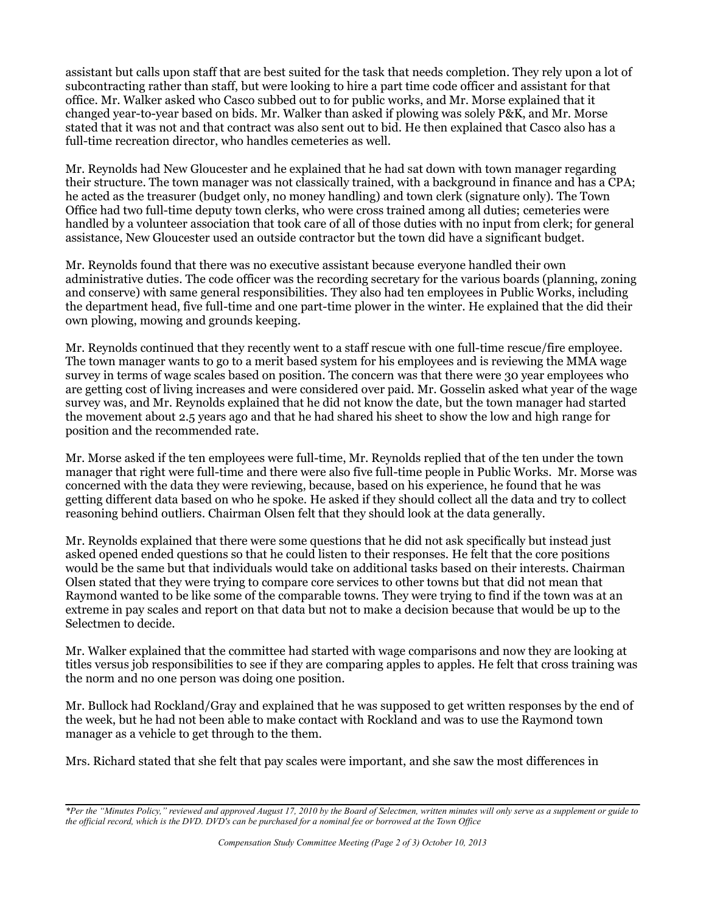assistant but calls upon staff that are best suited for the task that needs completion. They rely upon a lot of subcontracting rather than staff, but were looking to hire a part time code officer and assistant for that office. Mr. Walker asked who Casco subbed out to for public works, and Mr. Morse explained that it changed year-to-year based on bids. Mr. Walker than asked if plowing was solely P&K, and Mr. Morse stated that it was not and that contract was also sent out to bid. He then explained that Casco also has a full-time recreation director, who handles cemeteries as well.

Mr. Reynolds had New Gloucester and he explained that he had sat down with town manager regarding their structure. The town manager was not classically trained, with a background in finance and has a CPA; he acted as the treasurer (budget only, no money handling) and town clerk (signature only). The Town Office had two full-time deputy town clerks, who were cross trained among all duties; cemeteries were handled by a volunteer association that took care of all of those duties with no input from clerk; for general assistance, New Gloucester used an outside contractor but the town did have a significant budget.

Mr. Reynolds found that there was no executive assistant because everyone handled their own administrative duties. The code officer was the recording secretary for the various boards (planning, zoning and conserve) with same general responsibilities. They also had ten employees in Public Works, including the department head, five full-time and one part-time plower in the winter. He explained that the did their own plowing, mowing and grounds keeping.

Mr. Reynolds continued that they recently went to a staff rescue with one full-time rescue/fire employee. The town manager wants to go to a merit based system for his employees and is reviewing the MMA wage survey in terms of wage scales based on position. The concern was that there were 30 year employees who are getting cost of living increases and were considered over paid. Mr. Gosselin asked what year of the wage survey was, and Mr. Reynolds explained that he did not know the date, but the town manager had started the movement about 2.5 years ago and that he had shared his sheet to show the low and high range for position and the recommended rate.

Mr. Morse asked if the ten employees were full-time, Mr. Reynolds replied that of the ten under the town manager that right were full-time and there were also five full-time people in Public Works. Mr. Morse was concerned with the data they were reviewing, because, based on his experience, he found that he was getting different data based on who he spoke. He asked if they should collect all the data and try to collect reasoning behind outliers. Chairman Olsen felt that they should look at the data generally.

Mr. Reynolds explained that there were some questions that he did not ask specifically but instead just asked opened ended questions so that he could listen to their responses. He felt that the core positions would be the same but that individuals would take on additional tasks based on their interests. Chairman Olsen stated that they were trying to compare core services to other towns but that did not mean that Raymond wanted to be like some of the comparable towns. They were trying to find if the town was at an extreme in pay scales and report on that data but not to make a decision because that would be up to the Selectmen to decide.

Mr. Walker explained that the committee had started with wage comparisons and now they are looking at titles versus job responsibilities to see if they are comparing apples to apples. He felt that cross training was the norm and no one person was doing one position.

Mr. Bullock had Rockland/Gray and explained that he was supposed to get written responses by the end of the week, but he had not been able to make contact with Rockland and was to use the Raymond town manager as a vehicle to get through to the them.

Mrs. Richard stated that she felt that pay scales were important, and she saw the most differences in

*<sup>\*</sup>Per the "Minutes Policy," reviewed and approved August 17, 2010 by the Board of Selectmen, written minutes will only serve as a supplement or guide to the official record, which is the DVD. DVD's can be purchased for a nominal fee or borrowed at the Town Office*